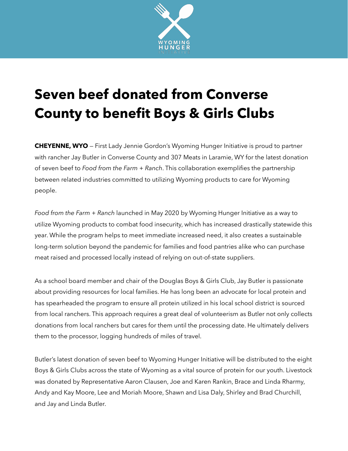

## **Seven beef donated from Converse County to benefit Boys & Girls Clubs**

**CHEYENNE, WYO** — First Lady Jennie Gordon's Wyoming Hunger Initiative is proud to partner with rancher Jay Butler in Converse County and 307 Meats in Laramie, WY for the latest donation of seven beef to *Food from the Farm + Ranch*. This collaboration exemplifies the partnership between related industries committed to utilizing Wyoming products to care for Wyoming people.

*Food from the Farm + Ranch* launched in May 2020 by Wyoming Hunger Initiative as a way to utilize Wyoming products to combat food insecurity, which has increased drastically statewide this year. While the program helps to meet immediate increased need, it also creates a sustainable long-term solution beyond the pandemic for families and food pantries alike who can purchase meat raised and processed locally instead of relying on out-of-state suppliers.

As a school board member and chair of the Douglas Boys & Girls Club, Jay Butler is passionate about providing resources for local families. He has long been an advocate for local protein and has spearheaded the program to ensure all protein utilized in his local school district is sourced from local ranchers. This approach requires a great deal of volunteerism as Butler not only collects donations from local ranchers but cares for them until the processing date. He ultimately delivers them to the processor, logging hundreds of miles of travel.

Butler's latest donation of seven beef to Wyoming Hunger Initiative will be distributed to the eight Boys & Girls Clubs across the state of Wyoming as a vital source of protein for our youth. Livestock was donated by Representative Aaron Clausen, Joe and Karen Rankin, Brace and Linda Rharmy, Andy and Kay Moore, Lee and Moriah Moore, Shawn and Lisa Daly, Shirley and Brad Churchill, and Jay and Linda Butler.